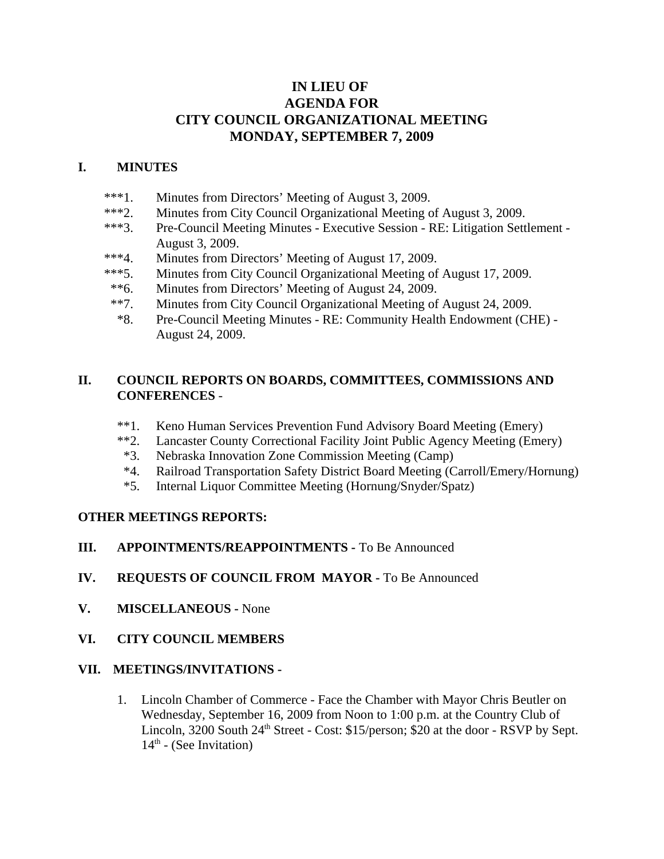## **IN LIEU OF AGENDA FOR CITY COUNCIL ORGANIZATIONAL MEETING MONDAY, SEPTEMBER 7, 2009**

## **I. MINUTES**

- \*\*\*1. Minutes from Directors' Meeting of August 3, 2009.
- \*\*\*2. Minutes from City Council Organizational Meeting of August 3, 2009.
- \*\*\*3. Pre-Council Meeting Minutes Executive Session RE: Litigation Settlement August 3, 2009.
- \*\*\*4. Minutes from Directors' Meeting of August 17, 2009.
- \*\*\*5. Minutes from City Council Organizational Meeting of August 17, 2009.
- \*\*6. Minutes from Directors' Meeting of August 24, 2009.
- \*\*7. Minutes from City Council Organizational Meeting of August 24, 2009.
- \*8. Pre-Council Meeting Minutes RE: Community Health Endowment (CHE) August 24, 2009.

#### **II. COUNCIL REPORTS ON BOARDS, COMMITTEES, COMMISSIONS AND CONFERENCES** -

- \*\*1. Keno Human Services Prevention Fund Advisory Board Meeting (Emery)
- \*\*2. Lancaster County Correctional Facility Joint Public Agency Meeting (Emery)
- \*3. Nebraska Innovation Zone Commission Meeting (Camp)
- \*4. Railroad Transportation Safety District Board Meeting (Carroll/Emery/Hornung)
- \*5. Internal Liquor Committee Meeting (Hornung/Snyder/Spatz)

### **OTHER MEETINGS REPORTS:**

### **III. APPOINTMENTS/REAPPOINTMENTS -** To Be Announced

- **IV. REQUESTS OF COUNCIL FROM MAYOR -** To Be Announced
- **V. MISCELLANEOUS -** None
- **VI. CITY COUNCIL MEMBERS**

#### **VII. MEETINGS/INVITATIONS -**

1. Lincoln Chamber of Commerce - Face the Chamber with Mayor Chris Beutler on Wednesday, September 16, 2009 from Noon to 1:00 p.m. at the Country Club of Lincoln, 3200 South 24<sup>th</sup> Street - Cost: \$15/person; \$20 at the door - RSVP by Sept.  $14<sup>th</sup>$  - (See Invitation)